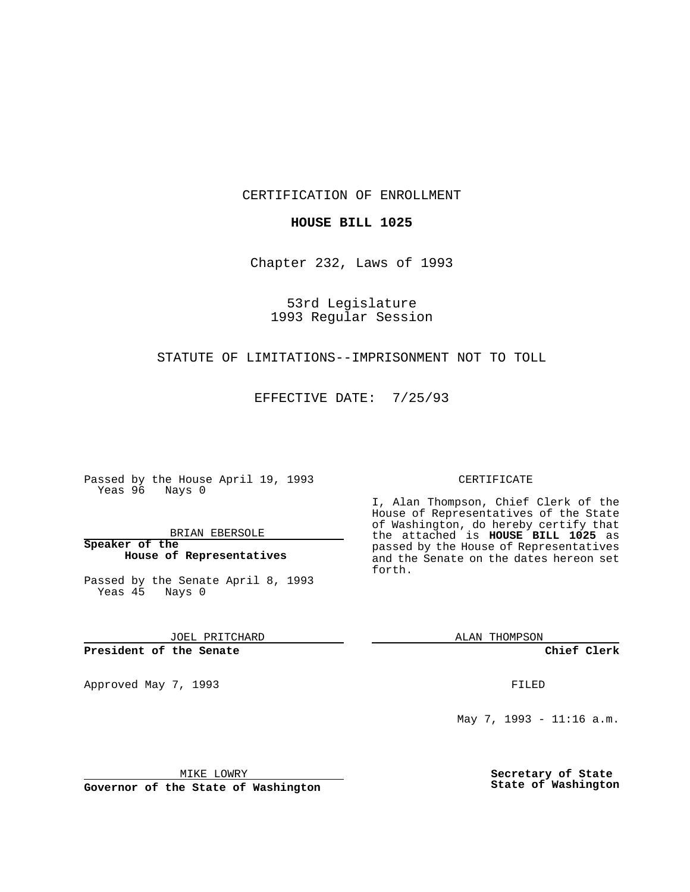CERTIFICATION OF ENROLLMENT

## **HOUSE BILL 1025**

Chapter 232, Laws of 1993

53rd Legislature 1993 Regular Session

## STATUTE OF LIMITATIONS--IMPRISONMENT NOT TO TOLL

EFFECTIVE DATE: 7/25/93

Passed by the House April 19, 1993 Yeas 96 Nays 0

BRIAN EBERSOLE

**Speaker of the House of Representatives**

Passed by the Senate April 8, 1993 Yeas 45 Nays 0

JOEL PRITCHARD

## **President of the Senate**

Approved May 7, 1993 **FILED** 

#### CERTIFICATE

I, Alan Thompson, Chief Clerk of the House of Representatives of the State of Washington, do hereby certify that the attached is **HOUSE BILL 1025** as passed by the House of Representatives and the Senate on the dates hereon set forth.

ALAN THOMPSON

**Chief Clerk**

May 7, 1993 - 11:16 a.m.

MIKE LOWRY

**Governor of the State of Washington**

**Secretary of State State of Washington**